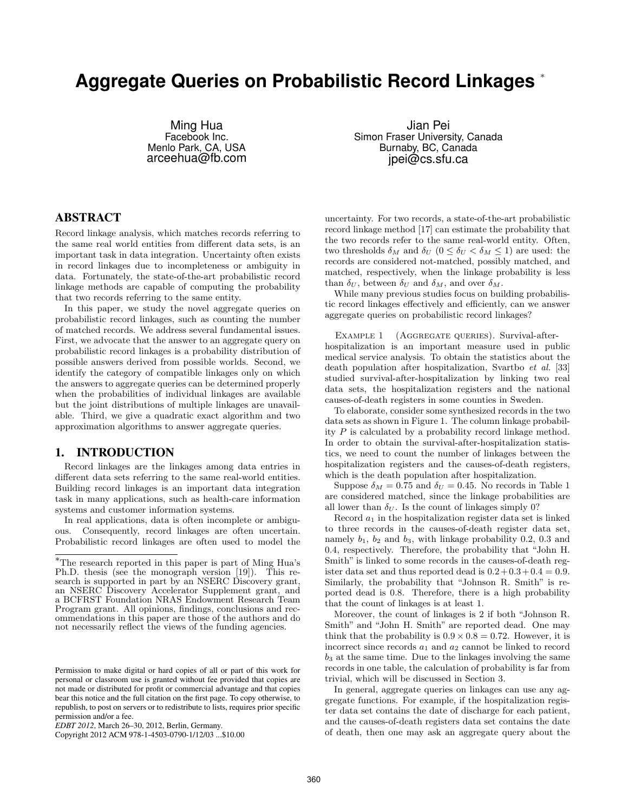# **Aggregate Queries on Probabilistic Record Linkages** <sup>∗</sup>

Ming Hua Facebook Inc. Menlo Park, CA, USA arceehua@fb.com

Jian Pei Simon Fraser University, Canada Burnaby, BC, Canada jpei@cs.sfu.ca

# **ABSTRACT**

Record linkage analysis, which matches records referring to the same real world entities from different data sets, is an important task in data integration. Uncertainty often exists in record linkages due to incompleteness or ambiguity in data. Fortunately, the state-of-the-art probabilistic record linkage methods are capable of computing the probability that two records referring to the same entity.

In this paper, we study the novel aggregate queries on probabilistic record linkages, such as counting the number of matched records. We address several fundamental issues. First, we advocate that the answer to an aggregate query on probabilistic record linkages is a probability distribution of possible answers derived from possible worlds. Second, we identify the category of compatible linkages only on which the answers to aggregate queries can be determined properly when the probabilities of individual linkages are available but the joint distributions of multiple linkages are unavailable. Third, we give a quadratic exact algorithm and two approximation algorithms to answer aggregate queries.

# **1. INTRODUCTION**

Record linkages are the linkages among data entries in different data sets referring to the same real-world entities. Building record linkages is an important data integration task in many applications, such as health-care information systems and customer information systems.

In real applications, data is often incomplete or ambiguous. Consequently, record linkages are often uncertain. Probabilistic record linkages are often used to model the

uncertainty. For two records, a state-of-the-art probabilistic record linkage method [17] can estimate the probability that the two records refer to the same real-world entity. Often, two thresholds  $\delta_M$  and  $\delta_U$  ( $0 \leq \delta_U < \delta_M \leq 1$ ) are used: the records are considered not-matched, possibly matched, and matched, respectively, when the linkage probability is less than  $\delta_U$ , between  $\delta_U$  and  $\delta_M$ , and over  $\delta_M$ .

While many previous studies focus on building probabilistic record linkages effectively and efficiently, can we answer aggregate queries on probabilistic record linkages?

EXAMPLE 1 (AGGREGATE QUERIES). Survival-afterhospitalization is an important measure used in public medical service analysis. To obtain the statistics about the death population after hospitalization, Svartbo et al. [33] studied survival-after-hospitalization by linking two real data sets, the hospitalization registers and the national causes-of-death registers in some counties in Sweden.

To elaborate, consider some synthesized records in the two data sets as shown in Figure 1. The column linkage probability  $P$  is calculated by a probability record linkage method. In order to obtain the survival-after-hospitalization statistics, we need to count the number of linkages between the hospitalization registers and the causes-of-death registers, which is the death population after hospitalization.

Suppose  $\delta_M = 0.75$  and  $\delta_U = 0.45$ . No records in Table 1 are considered matched, since the linkage probabilities are all lower than  $\delta_U$ . Is the count of linkages simply 0?

Record  $a_1$  in the hospitalization register data set is linked to three records in the causes-of-death register data set, namely  $b_1$ ,  $b_2$  and  $b_3$ , with linkage probability 0.2, 0.3 and 0.4, respectively. Therefore, the probability that "John H. Smith" is linked to some records in the causes-of-death register data set and thus reported dead is  $0.2 + 0.3 + 0.4 = 0.9$ . Similarly, the probability that "Johnson R. Smith" is reported dead is 0.8. Therefore, there is a high probability that the count of linkages is at least 1.

Moreover, the count of linkages is 2 if both "Johnson R. Smith" and "John H. Smith" are reported dead. One may think that the probability is  $0.9 \times 0.8 = 0.72$ . However, it is incorrect since records  $a_1$  and  $a_2$  cannot be linked to record  $b_3$  at the same time. Due to the linkages involving the same records in one table, the calculation of probability is far from trivial, which will be discussed in Section 3.

In general, aggregate queries on linkages can use any aggregate functions. For example, if the hospitalization register data set contains the date of discharge for each patient, and the causes-of-death registers data set contains the date of death, then one may ask an aggregate query about the

<sup>∗</sup>The research reported in this paper is part of Ming Hua's Ph.D. thesis (see the monograph version [19]). This research is supported in part by an NSERC Discovery grant, an NSERC Discovery Accelerator Supplement grant, and a BCFRST Foundation NRAS Endowment Research Team Program grant. All opinions, findings, conclusions and recommendations in this paper are those of the authors and do not necessarily reflect the views of the funding agencies.

Permission to make digital or hard copies of all or part of this work for personal or classroom use is granted without fee provided that copies are not made or distributed for profit or commercial advantage and that copies bear this notice and the full citation on the first page. To copy otherwise, to republish, to post on servers or to redistribute to lists, requires prior specific permission and/or a fee.

*EDBT 2012*, March 26–30, 2012, Berlin, Germany.

Copyright 2012 ACM 978-1-4503-0790-1/12/03 ...\$10.00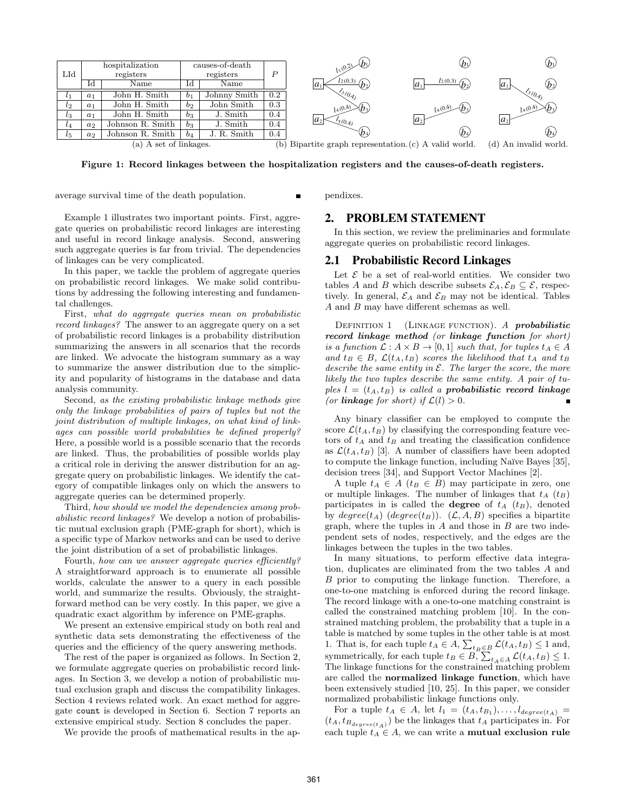

Figure 1: Record linkages between the hospitalization registers and the causes-of-death registers.

average survival time of the death population.

pendixes.

#### Example 1 illustrates two important points. First, aggregate queries on probabilistic record linkages are interesting and useful in record linkage analysis. Second, answering such aggregate queries is far from trivial. The dependencies of linkages can be very complicated.

In this paper, we tackle the problem of aggregate queries on probabilistic record linkages. We make solid contributions by addressing the following interesting and fundamental challenges.

First, what do aggregate queries mean on probabilistic record linkages? The answer to an aggregate query on a set of probabilistic record linkages is a probability distribution summarizing the answers in all scenarios that the records are linked. We advocate the histogram summary as a way to summarize the answer distribution due to the simplicity and popularity of histograms in the database and data analysis community.

Second, as the existing probabilistic linkage methods give only the linkage probabilities of pairs of tuples but not the joint distribution of multiple linkages, on what kind of linkages can possible world probabilities be defined properly? Here, a possible world is a possible scenario that the records are linked. Thus, the probabilities of possible worlds play a critical role in deriving the answer distribution for an aggregate query on probabilistic linkages. We identify the category of compatible linkages only on which the answers to aggregate queries can be determined properly.

Third, how should we model the dependencies among probabilistic record linkages? We develop a notion of probabilistic mutual exclusion graph (PME-graph for short), which is a specific type of Markov networks and can be used to derive the joint distribution of a set of probabilistic linkages.

Fourth, how can we answer aggregate queries efficiently? A straightforward approach is to enumerate all possible worlds, calculate the answer to a query in each possible world, and summarize the results. Obviously, the straightforward method can be very costly. In this paper, we give a quadratic exact algorithm by inference on PME-graphs.

We present an extensive empirical study on both real and synthetic data sets demonstrating the effectiveness of the queries and the efficiency of the query answering methods.

The rest of the paper is organized as follows. In Section 2, we formulate aggregate queries on probabilistic record linkages. In Section 3, we develop a notion of probabilistic mutual exclusion graph and discuss the compatibility linkages. Section 4 reviews related work. An exact method for aggregate count is developed in Section 6. Section 7 reports an extensive empirical study. Section 8 concludes the paper.

We provide the proofs of mathematical results in the ap-

# **2. PROBLEM STATEMENT**

In this section, we review the preliminaries and formulate aggregate queries on probabilistic record linkages.

# **2.1 Probabilistic Record Linkages**

Let  $\mathcal E$  be a set of real-world entities. We consider two tables A and B which describe subsets  $\mathcal{E}_A, \mathcal{E}_B \subseteq \mathcal{E}$ , respectively. In general,  $\mathcal{E}_A$  and  $\mathcal{E}_B$  may not be identical. Tables A and B may have different schemas as well.

DEFINITION 1 (LINKAGE FUNCTION). A *probabilistic* record linkage method (or linkage function for short) is a function  $\mathcal{L}: A \times B \to [0,1]$  such that, for tuples  $t_A \in A$ and  $t_B \in B$ ,  $\mathcal{L}(t_A, t_B)$  scores the likelihood that  $t_A$  and  $t_B$ describe the same entity in  $\mathcal E$ . The larger the score, the more likely the two tuples describe the same entity. A pair of tuples  $l = (t_A, t_B)$  is called a probabilistic record linkage (or **linkage** for short) if  $\mathcal{L}(l) > 0$ .

Any binary classifier can be employed to compute the score  $\mathcal{L}(t_A, t_B)$  by classifying the corresponding feature vectors of  $t_A$  and  $t_B$  and treating the classification confidence as  $\mathcal{L}(t_A, t_B)$  [3]. A number of classifiers have been adopted to compute the linkage function, including Naïve Bayes [35], decision trees [34], and Support Vector Machines [2].

A tuple  $t_A \in A$  ( $t_B \in B$ ) may participate in zero, one or multiple linkages. The number of linkages that  $t_A$   $(t_B)$ participates in is called the **degree** of  $t_A$   $(t_B)$ , denoted by  $degree(t_A)$  (degree(t<sub>B</sub>)). ( $\mathcal{L}, A, B$ ) specifies a bipartite graph, where the tuples in  $A$  and those in  $B$  are two independent sets of nodes, respectively, and the edges are the linkages between the tuples in the two tables.

In many situations, to perform effective data integration, duplicates are eliminated from the two tables A and B prior to computing the linkage function. Therefore, a one-to-one matching is enforced during the record linkage. The record linkage with a one-to-one matching constraint is called the constrained matching problem [10]. In the constrained matching problem, the probability that a tuple in a table is matched by some tuples in the other table is at most 1. That is, for each tuple  $t_A \in A$ ,  $\sum_{t_B \in B} \mathcal{L}(t_A, t_B) \leq 1$  and, symmetrically, for each tuple  $t_B \in B$ ,  $\sum_{t_A \in A} \mathcal{L}(t_A, t_B) \leq 1$ . The linkage functions for the constrained matching problem are called the normalized linkage function, which have been extensively studied [10, 25]. In this paper, we consider normalized probabilistic linkage functions only.

For a tuple  $t_A \in A$ , let  $l_1 = (t_A, t_{B_1}), \ldots, l_{degree(t_A)} =$  $(t_A, t_{B_{degree}(t_A)})$  be the linkages that  $t_A$  participates in. For each tuple  $t_A \in A$ , we can write a **mutual exclusion rule**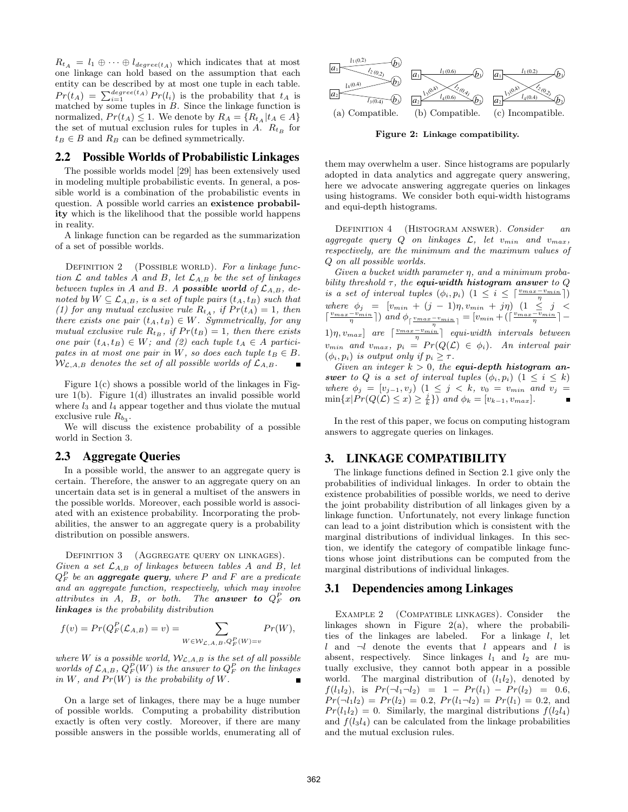$R_{t_A} = l_1 \oplus \cdots \oplus l_{degree(t_A)}$  which indicates that at most one linkage can hold based on the assumption that each entity can be described by at most one tuple in each table.  $Pr(t_A) = \sum_{i=1}^{degree(t_A)} Pr(l_i)$  is the probability that  $t_A$  is matched by some tuples in  $B$ . Since the linkage function is normalized,  $Pr(t_A) \leq 1$ . We denote by  $R_A = \{R_{t_A} | t_A \in A\}$ the set of mutual exclusion rules for tuples in A.  $R_{t_B}$  for  $t_B \in B$  and  $R_B$  can be defined symmetrically.

# **2.2 Possible Worlds of Probabilistic Linkages**

The possible worlds model [29] has been extensively used in modeling multiple probabilistic events. In general, a possible world is a combination of the probabilistic events in question. A possible world carries an existence probability which is the likelihood that the possible world happens in reality.

A linkage function can be regarded as the summarization of a set of possible worlds.

DEFINITION 2 (POSSIBLE WORLD). For a linkage function  $\mathcal L$  and tables A and B, let  $\mathcal L_{A,B}$  be the set of linkages between tuples in A and B. A possible world of  $\mathcal{L}_{A,B}$ , denoted by  $W \subseteq \mathcal{L}_{A,B}$ , is a set of tuple pairs  $(t_A, t_B)$  such that (1) for any mutual exclusive rule  $R_{t_A}$ , if  $Pr(t_A) = 1$ , then there exists one pair  $(t_A, t_B) \in W$ . Symmetrically, for any mutual exclusive rule  $R_{t_B}$ , if  $Pr(t_B) = 1$ , then there exists one pair  $(t_A, t_B) \in W$ ; and (2) each tuple  $t_A \in A$  participates in at most one pair in W, so does each tuple  $t_B \in B$ .  $W_{\mathcal{L},A,B}$  denotes the set of all possible worlds of  $\mathcal{L}_{A,B}$ .

Figure  $1(c)$  shows a possible world of the linkages in Figure 1(b). Figure 1(d) illustrates an invalid possible world where  $l_3$  and  $l_4$  appear together and thus violate the mutual exclusive rule  $R_{b_3}$ .

We will discuss the existence probability of a possible world in Section 3.

#### **2.3 Aggregate Queries**

In a possible world, the answer to an aggregate query is certain. Therefore, the answer to an aggregate query on an uncertain data set is in general a multiset of the answers in the possible worlds. Moreover, each possible world is associated with an existence probability. Incorporating the probabilities, the answer to an aggregate query is a probability distribution on possible answers.

DEFINITION 3 (AGGREGATE QUERY ON LINKAGES). Given a set  $\mathcal{L}_{A,B}$  of linkages between tables A and B, let  $Q_F^P$  be an **aggregate query**, where  $P$  and  $F$  are a predicate and an aggregate function, respectively, which may involve attributes in A, B, or both. The **answer to**  $Q_F^P$  on linkages is the probability distribution

$$
f(v) = Pr(Q_F^P(\mathcal{L}_{A,B}) = v) = \sum_{W \in \mathcal{W}_{\mathcal{L},A,B}, Q_F^P(W) = v} Pr(W),
$$

where W is a possible world,  $W_{\mathcal{L},A,B}$  is the set of all possible worlds of  $\mathcal{L}_{A,B}$ ,  $Q_F^P(W)$  is the answer to  $Q_F^P$  on the linkages in W, and  $Pr(W)$  is the probability of W.

On a large set of linkages, there may be a huge number of possible worlds. Computing a probability distribution exactly is often very costly. Moreover, if there are many possible answers in the possible worlds, enumerating all of



Figure 2: Linkage compatibility.

them may overwhelm a user. Since histograms are popularly adopted in data analytics and aggregate query answering, here we advocate answering aggregate queries on linkages using histograms. We consider both equi-width histograms and equi-depth histograms.

DEFINITION 4 (HISTOGRAM ANSWER). Consider an aggregate query  $Q$  on linkages  $\mathcal{L}$ , let  $v_{min}$  and  $v_{max}$ , respectively, are the minimum and the maximum values of Q on all possible worlds.

Given a bucket width parameter  $\eta$ , and a minimum probability threshold  $\tau$ , the **equi-width histogram answer** to Q is a set of interval tuples  $(\phi_i, p_i)$   $(1 \leq i \leq \lceil \frac{v_{max} - v_{min}}{n} \rceil)$ where  $\phi_j = [v_{min} + (j-1)\eta, v_{min} + j\eta]$   $(1 \leq j \leq j)$  $\lceil \frac{v_{max}-v_{min}}{\eta} \rceil$ ) and  $\phi_{\lceil \frac{v_{max}-v_{min}}{\eta} \rceil} = [v_{min} + (\lceil \frac{v_{max}-v_{min}}{\eta} \rceil - \frac{v_{max}-v_{min}}{\eta}])$ 1) $\eta, v_{max}$ ] are  $\lceil \frac{v_{max} - v_{min}}{\eta} \rceil$  equi-width intervals between  $v_{min}$  and  $v_{max}$ ,  $p_i = Pr(Q(\mathcal{L}) \in \phi_i)$ . An interval pair  $(\phi_i, p_i)$  is output only if  $p_i \geq \tau$ .

Given an integer  $k > 0$ , the equi-depth histogram answer to Q is a set of interval tuples  $(\phi_i, p_i)$   $(1 \leq i \leq k)$ where  $\phi_j = [v_{j-1}, v_j)$   $(1 \le j \le k, v_0 = v_{min}$  and  $v_j =$  $\min\{x|Pr(Q(\mathcal{L}) \leq x) \geq \frac{j}{k}\}\)$  and  $\phi_k = [v_{k-1}, v_{max}].$ 

In the rest of this paper, we focus on computing histogram answers to aggregate queries on linkages.

# **3. LINKAGE COMPATIBILITY**

The linkage functions defined in Section 2.1 give only the probabilities of individual linkages. In order to obtain the existence probabilities of possible worlds, we need to derive the joint probability distribution of all linkages given by a linkage function. Unfortunately, not every linkage function can lead to a joint distribution which is consistent with the marginal distributions of individual linkages. In this section, we identify the category of compatible linkage functions whose joint distributions can be computed from the marginal distributions of individual linkages.

#### **3.1 Dependencies among Linkages**

EXAMPLE 2 (COMPATIBLE LINKAGES). Consider the linkages shown in Figure 2(a), where the probabilities of the linkages are labeled. For a linkage  $l$ , let l and  $\neg l$  denote the events that l appears and l is absent, respectively. Since linkages  $l_1$  and  $l_2$  are mutually exclusive, they cannot both appear in a possible world. The marginal distribution of  $(l_1l_2)$ , denoted by  $f(l_1l_2)$ , is  $Pr(\neg l_1 \neg l_2) = 1 - Pr(l_1) - Pr(l_2) = 0.6$ ,  $Pr(\neg l_1l_2) = Pr(l_2) = 0.2, Pr(l_1\neg l_2) = Pr(l_1) = 0.2,$  and  $Pr(l_1l_2) = 0$ . Similarly, the marginal distributions  $f(l_2l_4)$ and  $f(l_3l_4)$  can be calculated from the linkage probabilities and the mutual exclusion rules.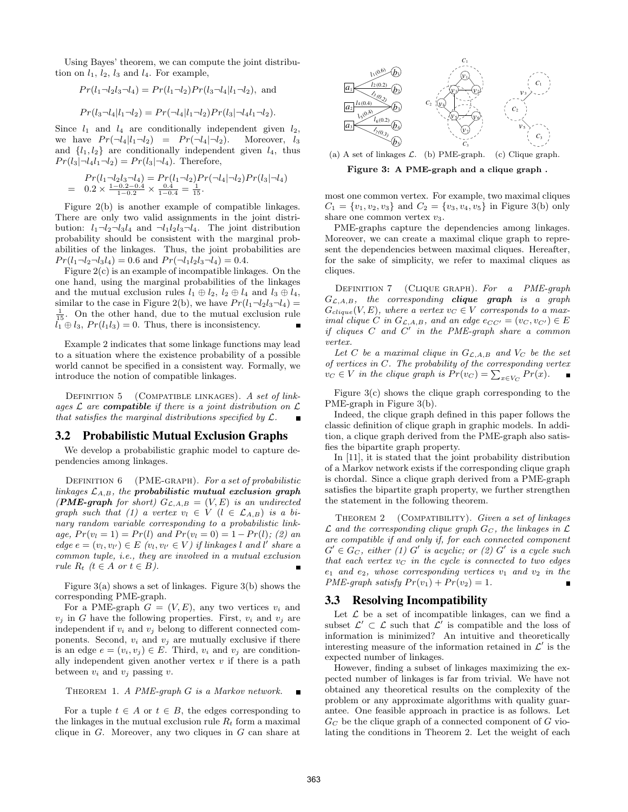Using Bayes' theorem, we can compute the joint distribution on  $l_1$ ,  $l_2$ ,  $l_3$  and  $l_4$ . For example,

$$
Pr(l_1 \neg l_2 l_3 \neg l_4) = Pr(l_1 \neg l_2) Pr(l_3 \neg l_4 | l_1 \neg l_2)
$$
, and

$$
Pr(l_3 \neg l_4 | l_1 \neg l_2) = Pr(\neg l_4 | l_1 \neg l_2) Pr(l_3 | \neg l_4 l_1 \neg l_2).
$$

Since  $l_1$  and  $l_4$  are conditionally independent given  $l_2$ , we have  $Pr(\neg l_4 | l_1 \neg l_2) = Pr(\neg l_4 | \neg l_2)$ . Moreover,  $l_3$ and  $\{l_1, l_2\}$  are conditionally independent given  $l_4$ , thus  $Pr(l_3|\neg l_4l_1\neg l_2) = Pr(l_3|\neg l_4)$ . Therefore,

$$
Pr(l_1 \neg l_2 l_3 \neg l_4) = Pr(l_1 \neg l_2) Pr(\neg l_4 | \neg l_2) Pr(l_3 | \neg l_4)
$$
  
= 0.2 \times  $\frac{1 - 0.2 - 0.4}{1 - 0.2} \times \frac{0.4}{1 - 0.4} = \frac{1}{15}$ .

Figure 2(b) is another example of compatible linkages. There are only two valid assignments in the joint distribution:  $l_1 \neg l_2 \neg l_3 l_4$  and  $\neg l_1 l_2 l_3 \neg l_4$ . The joint distribution probability should be consistent with the marginal probabilities of the linkages. Thus, the joint probabilities are  $Pr(l_1 \neg l_2 \neg l_3l_4) = 0.6$  and  $Pr(\neg l_1l_2l_3 \neg l_4) = 0.4$ .

Figure 2(c) is an example of incompatible linkages. On the one hand, using the marginal probabilities of the linkages and the mutual exclusion rules  $l_1 \oplus l_2$ ,  $l_2 \oplus l_4$  and  $l_3 \oplus l_4$ , similar to the case in Figure 2(b), we have  $Pr(l_1 \neg l_2 l_3 \neg l_4)$  =  $\frac{1}{15}$ . On the other hand, due to the mutual exclusion rule  $l_1 \oplus l_3$ ,  $Pr(l_1l_3) = 0$ . Thus, there is inconsistency.

Example 2 indicates that some linkage functions may lead to a situation where the existence probability of a possible world cannot be specified in a consistent way. Formally, we introduce the notion of compatible linkages.

DEFINITION  $5$  (COMPATIBLE LINKAGES). A set of linkages  $\mathcal L$  are **compatible** if there is a joint distribution on  $\mathcal L$ that satisfies the marginal distributions specified by  $\mathcal{L}$ .  $\blacksquare$ 

## **3.2 Probabilistic Mutual Exclusion Graphs**

We develop a probabilistic graphic model to capture dependencies among linkages.

DEFINITION 6 (PME-GRAPH). For a set of probabilistic linkages  $\mathcal{L}_{A,B}$ , the probabilistic mutual exclusion graph (PME-graph for short)  $G_{\mathcal{L},A,B} = (V, E)$  is an undirected graph such that (1) a vertex  $v_l \in V$  ( $l \in \mathcal{L}_{A,B}$ ) is a binary random variable corresponding to a probabilistic linkage,  $Pr(v_l = 1) = Pr(l)$  and  $Pr(v_l = 0) = 1 - Pr(l)$ ; (2) an  $edge e = (v_l, v_{l'}) \in E$   $(v_l, v_{l'} \in V)$  if linkages l and l' share a common tuple, i.e., they are involved in a mutual exclusion rule  $R_t$  ( $t \in A$  or  $t \in B$ ).

Figure 3(a) shows a set of linkages. Figure 3(b) shows the corresponding PME-graph.

For a PME-graph  $G = (V, E)$ , any two vertices  $v_i$  and  $v_j$  in G have the following properties. First,  $v_i$  and  $v_j$  are independent if  $v_i$  and  $v_j$  belong to different connected components. Second,  $v_i$  and  $v_j$  are mutually exclusive if there is an edge  $e = (v_i, v_j) \in E$ . Third,  $v_i$  and  $v_j$  are conditionally independent given another vertex  $v$  if there is a path between  $v_i$  and  $v_j$  passing  $v$ .

THEOREM 1. A PME-graph G is a Markov network.

For a tuple  $t \in A$  or  $t \in B$ , the edges corresponding to the linkages in the mutual exclusion rule  $R_t$  form a maximal clique in  $G$ . Moreover, any two cliques in  $G$  can share at



(a) A set of linkages  $\mathcal{L}$ . (b) PME-graph. (c) Clique graph.

Figure 3: A PME-graph and a clique graph .

most one common vertex. For example, two maximal cliques  $C_1 = \{v_1, v_2, v_3\}$  and  $C_2 = \{v_3, v_4, v_5\}$  in Figure 3(b) only share one common vertex  $v_3$ .

PME-graphs capture the dependencies among linkages. Moreover, we can create a maximal clique graph to represent the dependencies between maximal cliques. Hereafter, for the sake of simplicity, we refer to maximal cliques as cliques.

DEFINITION 7 (CLIQUE GRAPH). For a PME-graph  $G_{\mathcal{L},A,B}$ , the corresponding **clique graph** is a graph  $G_{clique}(V, E)$ , where a vertex  $v_C \in V$  corresponds to a maximal clique C in  $G_{\mathcal{L},A,B}$ , and an edge  $e_{CC'} = (v_C, v_{C'}) \in E$ if cliques  $C$  and  $C'$  in the PME-graph share a common vertex.

Let C be a maximal clique in  $G_{\mathcal{L},A,B}$  and  $V_C$  be the set of vertices in C. The probability of the corresponding vertex  $v_C \in V$  in the clique graph is  $Pr(v_C) = \sum_{x \in V_C} Pr(x)$ .

Figure  $3(c)$  shows the clique graph corresponding to the PME-graph in Figure 3(b).

Indeed, the clique graph defined in this paper follows the classic definition of clique graph in graphic models. In addition, a clique graph derived from the PME-graph also satisfies the bipartite graph property.

In [11], it is stated that the joint probability distribution of a Markov network exists if the corresponding clique graph is chordal. Since a clique graph derived from a PME-graph satisfies the bipartite graph property, we further strengthen the statement in the following theorem.

THEOREM 2 (COMPATIBILITY). Given a set of linkages  $\mathcal L$  and the corresponding clique graph  $G_C$ , the linkages in  $\mathcal L$ are compatible if and only if, for each connected component  $G' \in G_C$ , either (1) G' is acyclic; or (2) G' is a cycle such that each vertex  $v<sub>C</sub>$  in the cycle is connected to two edges  $e_1$  and  $e_2$ , whose corresponding vertices  $v_1$  and  $v_2$  in the PME-graph satisfy  $Pr(v_1) + Pr(v_2) = 1$ .

# **3.3 Resolving Incompatibility**

Let  $\mathcal L$  be a set of incompatible linkages, can we find a subset  $\mathcal{L}' \subset \mathcal{L}$  such that  $\mathcal{L}'$  is compatible and the loss of information is minimized? An intuitive and theoretically interesting measure of the information retained in  $\mathcal{L}'$  is the expected number of linkages.

However, finding a subset of linkages maximizing the expected number of linkages is far from trivial. We have not obtained any theoretical results on the complexity of the problem or any approximate algorithms with quality guarantee. One feasible approach in practice is as follows. Let  $G_C$  be the clique graph of a connected component of G violating the conditions in Theorem 2. Let the weight of each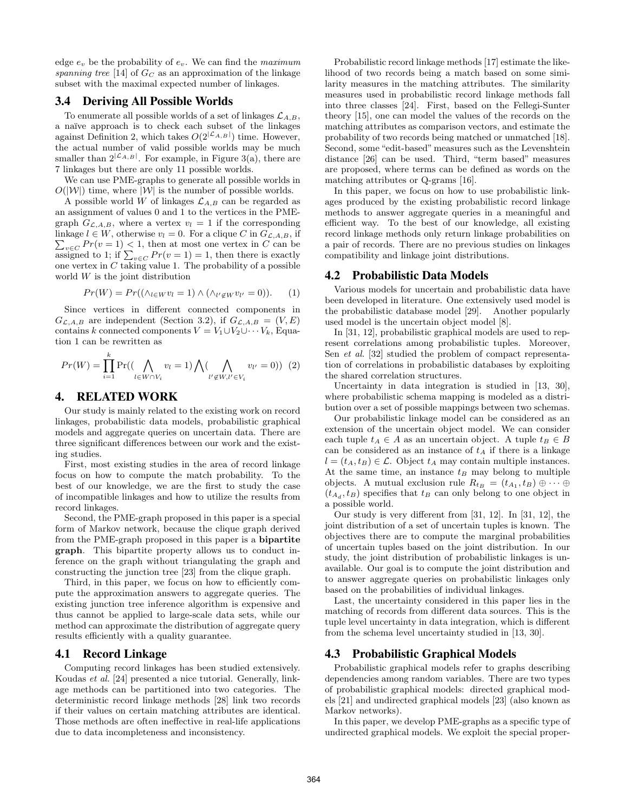edge  $e_v$  be the probability of  $e_v$ . We can find the maximum spanning tree [14] of  $G_C$  as an approximation of the linkage subset with the maximal expected number of linkages.

# **3.4 Deriving All Possible Worlds**

To enumerate all possible worlds of a set of linkages  $\mathcal{L}_{A,B}$ , a na¨ıve approach is to check each subset of the linkages against Definition 2, which takes  $O(2^{\lvert \mathcal{L}_{A,B} \rvert})$  time. However, the actual number of valid possible worlds may be much smaller than  $2^{\lvert \mathcal{L}_{A,B} \rvert}$ . For example, in Figure 3(a), there are 7 linkages but there are only 11 possible worlds.

We can use PME-graphs to generate all possible worlds in  $O(|W|)$  time, where  $|W|$  is the number of possible worlds.

A possible world W of linkages  $\mathcal{L}_{A,B}$  can be regarded as an assignment of values 0 and 1 to the vertices in the PMEgraph  $G_{\mathcal{L},A,B}$ , where a vertex  $v_l = 1$  if the corresponding linkage  $l \in W$ , otherwise  $v_l = 0$ . For a clique C in  $G_{\mathcal{L},A,B}$ , if  $\sum_{v \in C} Pr(v = 1) \leq 1$ , then at most one vertex in C can be assigned to 1; if  $\sum_{v \in C} Pr(v = 1) = 1$ , then there is exactly one vertex in  $C$  taking value 1. The probability of a possible world $\boldsymbol{W}$  is the joint distribution

$$
Pr(W) = Pr((\wedge_{l \in W} v_l = 1) \wedge (\wedge_{l' \notin W} v_{l'} = 0)). \qquad (1)
$$

Since vertices in different connected components in  $G_{\mathcal{L},A,B}$  are independent (Section 3.2), if  $G_{\mathcal{L},A,B} = (V, E)$ contains k connected components  $V = V_1 \cup V_2 \cup \cdots V_k$ , Equation 1 can be rewritten as

$$
Pr(W) = \prod_{i=1}^{k} Pr((\bigwedge_{l \in W \cap V_i} v_l = 1) \bigwedge (\bigwedge_{l' \notin W, l' \in V_i} v_{l'} = 0)) \tag{2}
$$

# **4. RELATED WORK**

Our study is mainly related to the existing work on record linkages, probabilistic data models, probabilistic graphical models and aggregate queries on uncertain data. There are three significant differences between our work and the existing studies.

First, most existing studies in the area of record linkage focus on how to compute the match probability. To the best of our knowledge, we are the first to study the case of incompatible linkages and how to utilize the results from record linkages.

Second, the PME-graph proposed in this paper is a special form of Markov network, because the clique graph derived from the PME-graph proposed in this paper is a bipartite graph. This bipartite property allows us to conduct inference on the graph without triangulating the graph and constructing the junction tree [23] from the clique graph.

Third, in this paper, we focus on how to efficiently compute the approximation answers to aggregate queries. The existing junction tree inference algorithm is expensive and thus cannot be applied to large-scale data sets, while our method can approximate the distribution of aggregate query results efficiently with a quality guarantee.

# **4.1 Record Linkage**

Computing record linkages has been studied extensively. Koudas et al. [24] presented a nice tutorial. Generally, linkage methods can be partitioned into two categories. The deterministic record linkage methods [28] link two records if their values on certain matching attributes are identical. Those methods are often ineffective in real-life applications due to data incompleteness and inconsistency.

Probabilistic record linkage methods [17] estimate the likelihood of two records being a match based on some similarity measures in the matching attributes. The similarity measures used in probabilistic record linkage methods fall into three classes [24]. First, based on the Fellegi-Sunter theory [15], one can model the values of the records on the matching attributes as comparison vectors, and estimate the probability of two records being matched or unmatched [18]. Second, some "edit-based" measures such as the Levenshtein distance [26] can be used. Third, "term based" measures are proposed, where terms can be defined as words on the matching attributes or Q-grams [16].

In this paper, we focus on how to use probabilistic linkages produced by the existing probabilistic record linkage methods to answer aggregate queries in a meaningful and efficient way. To the best of our knowledge, all existing record linkage methods only return linkage probabilities on a pair of records. There are no previous studies on linkages compatibility and linkage joint distributions.

## **4.2 Probabilistic Data Models**

Various models for uncertain and probabilistic data have been developed in literature. One extensively used model is the probabilistic database model [29]. Another popularly used model is the uncertain object model [8].

In [31, 12], probabilistic graphical models are used to represent correlations among probabilistic tuples. Moreover, Sen et al. [32] studied the problem of compact representation of correlations in probabilistic databases by exploiting the shared correlation structures.

Uncertainty in data integration is studied in [13, 30]. where probabilistic schema mapping is modeled as a distribution over a set of possible mappings between two schemas.

Our probabilistic linkage model can be considered as an extension of the uncertain object model. We can consider each tuple  $t_A \in A$  as an uncertain object. A tuple  $t_B \in B$ can be considered as an instance of  $t_A$  if there is a linkage  $l = (t_A, t_B) \in \mathcal{L}$ . Object  $t_A$  may contain multiple instances. At the same time, an instance  $t_B$  may belong to multiple objects. A mutual exclusion rule  $R_{t_B} = (t_{A_1}, t_B) \oplus \cdots \oplus$  $(t_{A_d}, t_B)$  specifies that  $t_B$  can only belong to one object in a possible world.

Our study is very different from [31, 12]. In [31, 12], the joint distribution of a set of uncertain tuples is known. The objectives there are to compute the marginal probabilities of uncertain tuples based on the joint distribution. In our study, the joint distribution of probabilistic linkages is unavailable. Our goal is to compute the joint distribution and to answer aggregate queries on probabilistic linkages only based on the probabilities of individual linkages.

Last, the uncertainty considered in this paper lies in the matching of records from different data sources. This is the tuple level uncertainty in data integration, which is different from the schema level uncertainty studied in [13, 30].

# **4.3 Probabilistic Graphical Models**

Probabilistic graphical models refer to graphs describing dependencies among random variables. There are two types of probabilistic graphical models: directed graphical models [21] and undirected graphical models [23] (also known as Markov networks).

In this paper, we develop PME-graphs as a specific type of undirected graphical models. We exploit the special proper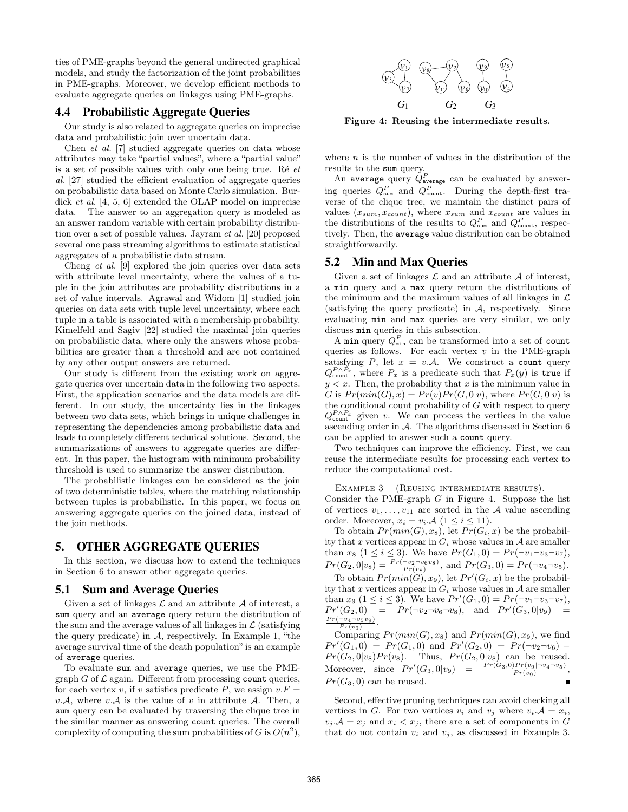ties of PME-graphs beyond the general undirected graphical models, and study the factorization of the joint probabilities in PME-graphs. Moreover, we develop efficient methods to evaluate aggregate queries on linkages using PME-graphs.

# **4.4 Probabilistic Aggregate Queries**

Our study is also related to aggregate queries on imprecise data and probabilistic join over uncertain data.

Chen et al. [7] studied aggregate queries on data whose attributes may take "partial values", where a "partial value" is a set of possible values with only one being true. Ré  $et$ al. [27] studied the efficient evaluation of aggregate queries on probabilistic data based on Monte Carlo simulation. Burdick et al. [4, 5, 6] extended the OLAP model on imprecise data. The answer to an aggregation query is modeled as an answer random variable with certain probability distribution over a set of possible values. Jayram et al. [20] proposed several one pass streaming algorithms to estimate statistical aggregates of a probabilistic data stream.

Cheng et al. [9] explored the join queries over data sets with attribute level uncertainty, where the values of a tuple in the join attributes are probability distributions in a set of value intervals. Agrawal and Widom [1] studied join queries on data sets with tuple level uncertainty, where each tuple in a table is associated with a membership probability. Kimelfeld and Sagiv [22] studied the maximal join queries on probabilistic data, where only the answers whose probabilities are greater than a threshold and are not contained by any other output answers are returned.

Our study is different from the existing work on aggregate queries over uncertain data in the following two aspects. First, the application scenarios and the data models are different. In our study, the uncertainty lies in the linkages between two data sets, which brings in unique challenges in representing the dependencies among probabilistic data and leads to completely different technical solutions. Second, the summarizations of answers to aggregate queries are different. In this paper, the histogram with minimum probability threshold is used to summarize the answer distribution.

The probabilistic linkages can be considered as the join of two deterministic tables, where the matching relationship between tuples is probabilistic. In this paper, we focus on answering aggregate queries on the joined data, instead of the join methods.

# **5. OTHER AGGREGATE QUERIES**

In this section, we discuss how to extend the techniques in Section 6 to answer other aggregate queries.

#### **5.1 Sum and Average Queries**

Given a set of linkages  $\mathcal L$  and an attribute  $\mathcal A$  of interest, a sum query and an average query return the distribution of the sum and the average values of all linkages in  $\mathcal L$  (satisfying the query predicate) in  $A$ , respectively. In Example 1, "the average survival time of the death population"is an example of average queries.

To evaluate sum and average queries, we use the PMEgraph  $G$  of  $\mathcal L$  again. Different from processing count queries, for each vertex v, if v satisfies predicate P, we assign  $v.F =$ v.A, where v.A is the value of v in attribute A. Then, a sum query can be evaluated by traversing the clique tree in the similar manner as answering count queries. The overall complexity of computing the sum probabilities of G is  $O(n^2)$ ,



Figure 4: Reusing the intermediate results.

where  $n$  is the number of values in the distribution of the results to the sum query.

An average query  $Q_{\text{average}}^P$  can be evaluated by answering queries  $Q_{\text{sum}}^P$  and  $Q_{\text{count}}^P$ . During the depth-first traverse of the clique tree, we maintain the distinct pairs of values  $(x_{sum}, x_{count})$ , where  $x_{sum}$  and  $x_{count}$  are values in the distributions of the results to  $Q_{\text{sum}}^P$  and  $Q_{\text{count}}^P$ , respectively. Then, the average value distribution can be obtained straightforwardly.

## **5.2 Min and Max Queries**

Given a set of linkages  $\mathcal L$  and an attribute  $\mathcal A$  of interest, a min query and a max query return the distributions of the minimum and the maximum values of all linkages in  $\mathcal L$ (satisfying the query predicate) in A, respectively. Since evaluating min and max queries are very similar, we only discuss min queries in this subsection.

A min query  $Q_{\min}^P$  can be transformed into a set of count queries as follows. For each vertex  $v$  in the PME-graph satisfying P, let  $x = v.A$ . We construct a count query  $Q_{\text{count}}^{P \wedge \tilde{P}_x}$ , where  $P_x$  is a predicate such that  $P_x(y)$  is true if  $y < x$ . Then, the probability that x is the minimum value in G is  $Pr(min(G), x) = Pr(v)Pr(G, 0|v)$ , where  $Pr(G, 0|v)$  is the conditional count probability of  $G$  with respect to query  $Q_{\text{count}}^{P \wedge P_x}$  given v. We can process the vertices in the value ascending order in  $A$ . The algorithms discussed in Section 6 can be applied to answer such a count query.

Two techniques can improve the efficiency. First, we can reuse the intermediate results for processing each vertex to reduce the computational cost.

EXAMPLE 3 (REUSING INTERMEDIATE RESULTS).

Consider the PME-graph  $G$  in Figure 4. Suppose the list of vertices  $v_1, \ldots, v_{11}$  are sorted in the A value ascending order. Moreover,  $x_i = v_i \mathcal{A}$   $(1 \leq i \leq 11)$ .

To obtain  $Pr(min(G), x_8)$ , let  $Pr(G_i, x)$  be the probability that x vertices appear in  $G_i$  whose values in  $A$  are smaller than  $x_8$   $(1 \le i \le 3)$ . We have  $Pr(G_1, 0) = Pr(\neg v_1 \neg v_3 \neg v_7)$ ,  $Pr(G_2, 0|v_8) = \frac{Pr(\neg v_2 \neg v_6 v_8)}{Pr(v_8)}$ , and  $Pr(G_3, 0) = Pr(\neg v_4 \neg v_5)$ .

To obtain  $Pr(min(G), x_9)$ , let  $Pr'(G_i, x)$  be the probability that x vertices appear in  $G_i$  whose values in  $A$  are smaller than  $x_9$   $(1 \le i \le 3)$ . We have  $Pr'(G_1, 0) = Pr(\neg v_1 \neg v_3 \neg v_7)$ ,  $Pr'(G_2, 0) = Pr(\neg v_2 \neg v_6 \neg v_8)$ , and  $Pr'(G_3, 0|v_9) =$  $\frac{Pr(\neg v_4 \neg v_5v_9)}{Pr(v_9)}$ .  $\overline{Pr(v_9)}$ 

Comparing  $Pr(min(G), x_8)$  and  $Pr(min(G), x_9)$ , we find  $Pr'(G_1, 0) = Pr(G_1, 0)$  and  $Pr'(G_2, 0) = Pr(\neg v_2 \neg v_6)$  $Pr(G_2, 0|v_8)Pr(v_8)$ . Thus,  $Pr(G_2, 0|v_8)$  can be reused. Moreover, since  $Pr'(G_3, 0|v_9) = \frac{Pr(G_3, 0)Pr(v_9|\neg v_4 \neg v_5)}{Pr(v_9)}$ ,  $Pr(G_3, 0)$  can be reused.

Second, effective pruning techniques can avoid checking all vertices in G. For two vertices  $v_i$  and  $v_j$  where  $v_i \cdot A = x_i$ ,  $v_j \mathcal{A} = x_j$  and  $x_i < x_j$ , there are a set of components in G that do not contain  $v_i$  and  $v_j$ , as discussed in Example 3.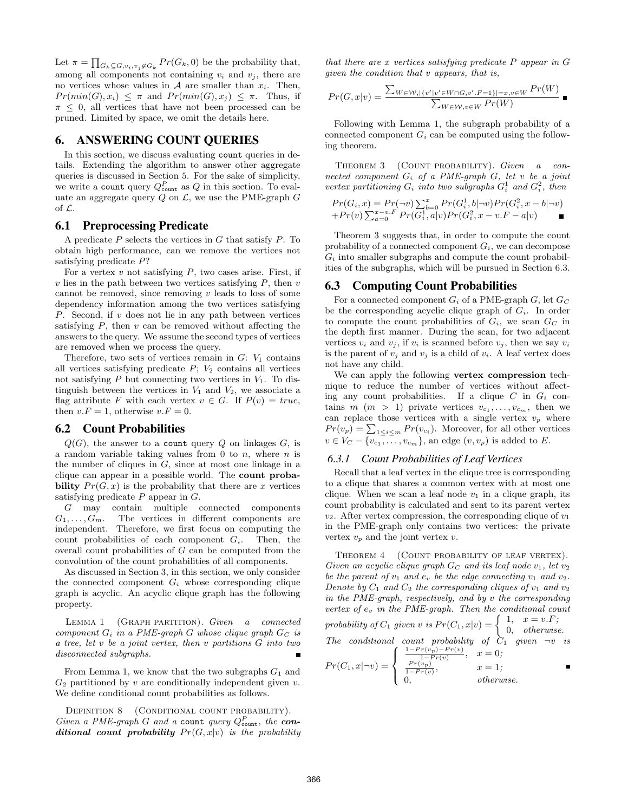Let  $\pi = \prod_{G_k \subseteq G, v_i, v_j \notin G_k} Pr(G_k, 0)$  be the probability that, among all components not containing  $v_i$  and  $v_j$ , there are no vertices whose values in  $A$  are smaller than  $x_i$ . Then,  $Pr(min(G), x_i) \leq \pi$  and  $Pr(min(G), x_j) \leq \pi$ . Thus, if  $\pi \leq 0$ , all vertices that have not been processed can be pruned. Limited by space, we omit the details here.

# **6. ANSWERING COUNT QUERIES**

In this section, we discuss evaluating count queries in details. Extending the algorithm to answer other aggregate queries is discussed in Section 5. For the sake of simplicity, we write a count query  $Q_{\text{count}}^P$  as  $Q$  in this section. To evaluate an aggregate query  $Q$  on  $\mathcal{L}$ , we use the PME-graph  $G$ of L.

# **6.1 Preprocessing Predicate**

A predicate  $P$  selects the vertices in  $G$  that satisfy  $P$ . To obtain high performance, can we remove the vertices not satisfying predicate P?

For a vertex  $v$  not satisfying  $P$ , two cases arise. First, if  $v$  lies in the path between two vertices satisfying  $P$ , then  $v$ cannot be removed, since removing  $v$  leads to loss of some dependency information among the two vertices satisfying P. Second, if v does not lie in any path between vertices satisfying  $P$ , then  $v$  can be removed without affecting the answers to the query. We assume the second types of vertices are removed when we process the query.

Therefore, two sets of vertices remain in  $G: V_1$  contains all vertices satisfying predicate  $P$ ;  $V_2$  contains all vertices not satisfying  $P$  but connecting two vertices in  $V_1$ . To distinguish between the vertices in  $V_1$  and  $V_2$ , we associate a flag attribute F with each vertex  $v \in G$ . If  $P(v) = true$ , then  $v.F = 1$ , otherwise  $v.F = 0$ .

## **6.2 Count Probabilities**

 $Q(G)$ , the answer to a count query Q on linkages  $G$ , is a random variable taking values from 0 to n, where n is the number of cliques in  $G$ , since at most one linkage in a clique can appear in a possible world. The count probability  $Pr(G, x)$  is the probability that there are x vertices satisfying predicate  $P$  appear in  $G$ .

G may contain multiple connected components  $G_1, \ldots, G_m$ . The vertices in different components are independent. Therefore, we first focus on computing the count probabilities of each component  $G_i$ . Then, the overall count probabilities of G can be computed from the convolution of the count probabilities of all components.

As discussed in Section 3, in this section, we only consider the connected component  $G_i$  whose corresponding clique graph is acyclic. An acyclic clique graph has the following property.

LEMMA 1 (GRAPH PARTITION). Given a connected component  $G_i$  in a PME-graph G whose clique graph  $G_C$  is a tree, let v be a joint vertex, then v partitions G into two disconnected subgraphs.

From Lemma 1, we know that the two subgraphs  $G_1$  and  $G_2$  partitioned by v are conditionally independent given v. We define conditional count probabilities as follows.

DEFINITION 8 (CONDITIONAL COUNT PROBABILITY). Given a PME-graph G and a count query  $Q_{\text{count}}^P$ , the conditional count probability  $Pr(G, x|v)$  is the probability that there are x vertices satisfying predicate  $P$  appear in  $G$ given the condition that v appears, that is,

$$
Pr(G, x|v) = \frac{\sum_{W \in \mathcal{W}, |\{v'|v' \in W \cap G, v'.F=1\}|=x, v \in W} Pr(W)}{\sum_{W \in \mathcal{W}, v \in W} Pr(W)} \blacksquare
$$

Following with Lemma 1, the subgraph probability of a connected component  $G_i$  can be computed using the following theorem.

THEOREM 3 (COUNT PROBABILITY). Given a connected component  $G_i$  of a PME-graph  $G$ , let v be a joint vertex partitioning  $G_i$  into two subgraphs  $G_i^1$  and  $G_i^2$ , then

$$
Pr(G_i, x) = Pr(\neg v) \sum_{b=0}^{x} Pr(G_i^1, b | \neg v) Pr(G_i^2, x - b | \neg v)
$$
  
+
$$
Pr(v) \sum_{a=0}^{x-v \cdot F} Pr(G_i^1, a | v) Pr(G_i^2, x - v \cdot F - a | v)
$$

Theorem 3 suggests that, in order to compute the count probability of a connected component  $G_i$ , we can decompose  $G_i$  into smaller subgraphs and compute the count probabilities of the subgraphs, which will be pursued in Section 6.3.

#### **6.3 Computing Count Probabilities**

For a connected component  $G_i$  of a PME-graph  $G$ , let  $G_C$ be the corresponding acyclic clique graph of  $G_i$ . In order to compute the count probabilities of  $G_i$ , we scan  $G_C$  in the depth first manner. During the scan, for two adjacent vertices  $v_i$  and  $v_j$ , if  $v_i$  is scanned before  $v_j$ , then we say  $v_i$ is the parent of  $v_j$  and  $v_j$  is a child of  $v_i$ . A leaf vertex does not have any child.

We can apply the following vertex compression technique to reduce the number of vertices without affecting any count probabilities. If a clique  $C$  in  $G_i$  contains  $m \ (m > 1)$  private vertices  $v_{c_1}, \ldots, v_{c_m}$ , then we can replace those vertices with a single vertex  $v_p$  where  $Pr(v_p) = \sum_{1 \leq i \leq m} Pr(v_{c_i})$ . Moreover, for all other vertices  $v \in V_C - \{v_{c_1}, \ldots, v_{c_m}\}\$ , an edge  $(v, v_p)$  is added to E.

#### *6.3.1 Count Probabilities of Leaf Vertices*

Recall that a leaf vertex in the clique tree is corresponding to a clique that shares a common vertex with at most one clique. When we scan a leaf node  $v_1$  in a clique graph, its count probability is calculated and sent to its parent vertex  $v_2$ . After vertex compression, the corresponding clique of  $v_1$ in the PME-graph only contains two vertices: the private vertex  $v_p$  and the joint vertex  $v$ .

THEOREM 4 (COUNT PROBABILITY OF LEAF VERTEX). Given an acyclic clique graph  $G_C$  and its leaf node  $v_1$ , let  $v_2$ be the parent of  $v_1$  and  $e_v$  be the edge connecting  $v_1$  and  $v_2$ . Denote by  $C_1$  and  $C_2$  the corresponding cliques of  $v_1$  and  $v_2$ in the PME-graph, respectively, and by v the corresponding vertex of  $e_v$  in the PME-graph. Then the conditional count

probability of 
$$
C_1
$$
 given v is  $Pr(C_1, x|v) = \begin{cases} 1, & x = v.F; \\ 0, & otherwise. \end{cases}$   
The conditional count probability of  $C_1$  given  $\neg v$  is

$$
Pr(C_1, x | \neg v) = \begin{cases} \frac{1 - Pr(v_p) - Pr(v)}{1 - Pr(v)}, & x = 0; \\ \frac{Pr(v_p)}{1 - Pr(v)}, & x = 1; \\ 0, & otherwise. \end{cases}
$$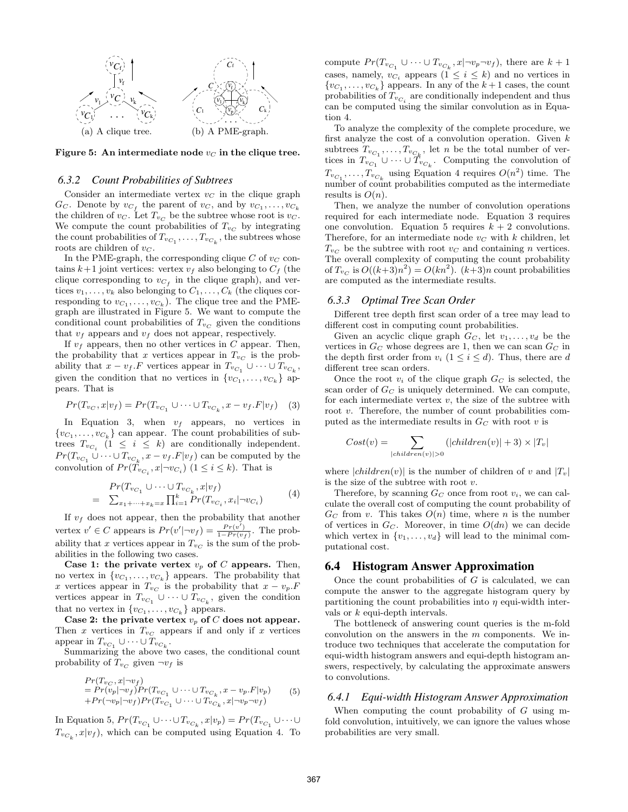

Figure 5: An intermediate node  $v<sub>C</sub>$  in the clique tree.

#### *6.3.2 Count Probabilities of Subtrees*

Consider an intermediate vertex  $v<sub>C</sub>$  in the clique graph  $G_C$ . Denote by  $v_{C_f}$  the parent of  $v_C$ , and by  $v_{C_1}, \ldots, v_{C_k}$ the children of  $v_C$ . Let  $T_{v_C}$  be the subtree whose root is  $v_C$ . We compute the count probabilities of  $T_{v_C}$  by integrating the count probabilities of  $T_{v_{C_1}}, \ldots, T_{v_{C_k}}$ , the subtrees whose roots are children of  $v_C$ .

In the PME-graph, the corresponding clique  $C$  of  $v<sub>C</sub>$  contains  $k+1$  joint vertices: vertex  $v_f$  also belonging to  $C_f$  (the clique corresponding to  $v_{C_f}$  in the clique graph), and vertices  $v_1, \ldots, v_k$  also belonging to  $C_1, \ldots, C_k$  (the cliques corresponding to  $v_{C_1}, \ldots, v_{C_k}$ ). The clique tree and the PMEgraph are illustrated in Figure 5. We want to compute the conditional count probabilities of  $T_{v_C}$  given the conditions that  $v_f$  appears and  $v_f$  does not appear, respectively.

If  $v_f$  appears, then no other vertices in C appear. Then, the probability that x vertices appear in  $T_{v_C}$  is the probability that  $x - v_f$ . F vertices appear in  $T_{v_{C_1}} \cup \cdots \cup T_{v_{C_k}}$ , given the condition that no vertices in  $\{v_{C_1}, \ldots, v_{C_k}\}\$  appears. That is

$$
Pr(T_{v_C}, x|v_f) = Pr(T_{v_{C_1}} \cup \dots \cup T_{v_{C_k}}, x - v_f.F|v_f) \quad (3)
$$

In Equation 3, when  $v_f$  appears, no vertices in  ${v_{C_1}, \ldots, v_{C_k}}$  can appear. The count probabilities of subtrees  $T_{v_{C_i}}$  (1  $\leq i \leq k$ ) are conditionally independent.  $Pr(T_{v_{C_1}} \cup \cdots \cup T_{v_{C_k}}, x - v_f.F|v_f)$  can be computed by the convolution of  $Pr(T_{v_{C_i}}, x | \neg v_{C_i})$   $(1 \le i \le k)$ . That is

$$
Pr(T_{v_{C_1}} \cup \dots \cup T_{v_{C_k}}, x|v_f)
$$
  
=  $\sum_{x_1 + \dots + x_k = x} \prod_{i=1}^k Pr(T_{v_{C_i}}, x_i | \neg v_{C_i})$  (4)

If  $v_f$  does not appear, then the probability that another vertex  $v' \in C$  appears is  $Pr(v'|\neg v_f) = \frac{Pr(v')}{1 - Pr(v_f)}$ . The probability that x vertices appear in  $T_{v_C}$  is the sum of the probabilities in the following two cases.

Case 1: the private vertex  $v_p$  of C appears. Then, no vertex in  $\{v_{C_1}, \ldots, v_{C_k}\}\$  appears. The probability that x vertices appear in  $T_{v_C}$  is the probability that  $x - v_p.F$ vertices appear in  $T_{v_{C_1}} \cup \cdots \cup T_{v_{C_k}}$ , given the condition that no vertex in  $\{v_{C_1}, \ldots, v_{C_k}\}\$  appears.

Case 2: the private vertex  $v_p$  of C does not appear. Then x vertices in  $T_{v_C}$  appears if and only if x vertices appear in  $T_{v_{C_1}} \cup \cdots \cup T_{v_{C_k}}$ .

Summarizing the above two cases, the conditional count probability of  $T_{v_C}$  given  $\neg v_f$  is

$$
Pr(T_{v_C}, x | \neg v_f)
$$
  
= Pr(v<sub>p</sub>| $\neg v_f$ ) Pr(T<sub>v<sub>C\_1</sub></sub> ∪···∪ T<sub>v<sub>C\_k</sub></sub>, x - v<sub>p</sub>. F|v<sub>p</sub>) (5)  
+ Pr(\neg v<sub>p</sub>| $\neg v_f$ ) Pr(T<sub>v<sub>C\_1</sub></sub> ∪···∪ T<sub>v<sub>C\_k</sub></sub>, x | $\neg v_p \neg v_f$ )

In Equation 5,  $Pr(T_{v_{C_1}} \cup \cdots \cup T_{v_{C_k}}, x|v_p) = Pr(T_{v_{C_1}} \cup \cdots \cup$  $T_{v_{C_k}}, x|v_f$ , which can be computed using Equation 4. To

compute  $Pr(T_{v_{C_1}} \cup \cdots \cup T_{v_{C_k}}, x | \neg v_p \neg v_f)$ , there are  $k+1$ cases, namely,  $v_{C_i}$  appears  $(1 \leq i \leq k)$  and no vertices in  $\{v_{C_1}, \ldots, v_{C_k}\}\$ appears. In any of the  $k+1$  cases, the count probabilities of  $T_{v_{C_i}}$  are conditionally independent and thus can be computed using the similar convolution as in Equation 4.

To analyze the complexity of the complete procedure, we first analyze the cost of a convolution operation. Given  $k$ subtrees  $T_{\nu_{C_1}}, \ldots, T_{\nu_{C_k}}$ , let n be the total number of vertices in  $T_{v_{C_1}} \cup \cdots \cup T_{v_{C_k}}$ . Computing the convolution of  $T_{v_{C_1}}, \ldots, T_{v_{C_k}}$  using Equation 4 requires  $O(n^2)$  time. The number of count probabilities computed as the intermediate results is  $O(n)$ .

Then, we analyze the number of convolution operations required for each intermediate node. Equation 3 requires one convolution. Equation 5 requires  $k + 2$  convolutions. Therefore, for an intermediate node  $v<sub>C</sub>$  with k children, let  $T_{vc}$  be the subtree with root  $v<sub>C</sub>$  and containing n vertices. The overall complexity of computing the count probability of  $T_{v_C}$  is  $O((k+3)n^2) = O(kn^2)$ .  $(k+3)n$  count probabilities are computed as the intermediate results.

#### *6.3.3 Optimal Tree Scan Order*

Different tree depth first scan order of a tree may lead to different cost in computing count probabilities.

Given an acyclic clique graph  $G_C$ , let  $v_1, \ldots, v_d$  be the vertices in  $G_C$  whose degrees are 1, then we can scan  $G_C$  in the depth first order from  $v_i$   $(1 \leq i \leq d)$ . Thus, there are d different tree scan orders.

Once the root  $v_i$  of the clique graph  $G_C$  is selected, the scan order of  $G_C$  is uniquely determined. We can compute, for each intermediate vertex  $v$ , the size of the subtree with root v. Therefore, the number of count probabilities computed as the intermediate results in  $G_C$  with root v is

$$
Cost(v) = \sum_{\substack{|children(v)| > 0}} (|children(v)| + 3) \times |T_v|
$$

where  $|children(v)|$  is the number of children of v and  $|T_v|$ is the size of the subtree with root v.

Therefore, by scanning  $G_C$  once from root  $v_i$ , we can calculate the overall cost of computing the count probability of  $G_C$  from v. This takes  $O(n)$  time, where n is the number of vertices in  $G_C$ . Moreover, in time  $O(dn)$  we can decide which vertex in  $\{v_1, \ldots, v_d\}$  will lead to the minimal computational cost.

#### **6.4 Histogram Answer Approximation**

Once the count probabilities of  $G$  is calculated, we can compute the answer to the aggregate histogram query by partitioning the count probabilities into  $\eta$  equi-width intervals or k equi-depth intervals.

The bottleneck of answering count queries is the m-fold convolution on the answers in the  $m$  components. We introduce two techniques that accelerate the computation for equi-width histogram answers and equi-depth histogram answers, respectively, by calculating the approximate answers to convolutions.

#### *6.4.1 Equi-width Histogram Answer Approximation*

When computing the count probability of G using mfold convolution, intuitively, we can ignore the values whose probabilities are very small.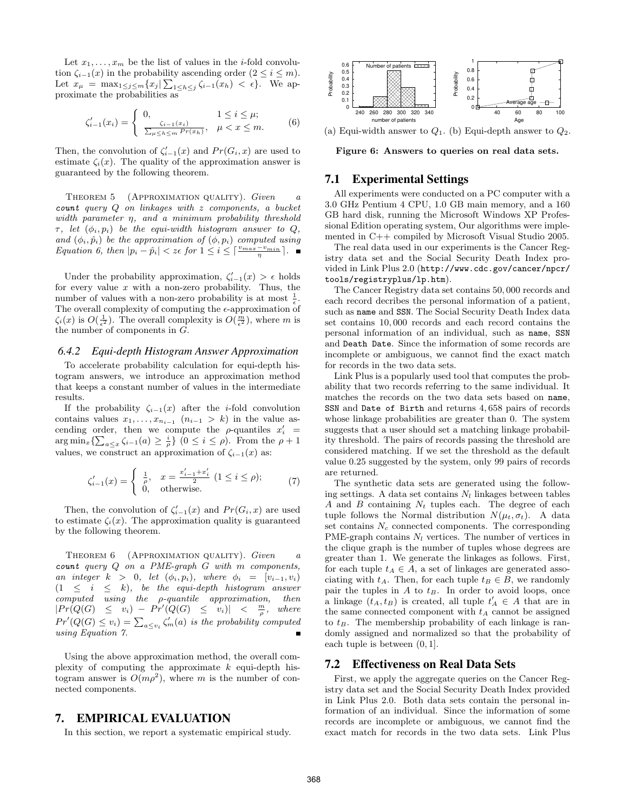Let  $x_1, \ldots, x_m$  be the list of values in the *i*-fold convolution  $\zeta_{i-1}(x)$  in the probability ascending order  $(2 \leq i \leq m)$ . Let  $x_{\mu} = \max_{1 \leq j \leq m} \{x_j | \sum_{1 \leq h \leq j} \zeta_{i-1}(x_h) < \epsilon\}.$  We approximate the probabilities as

$$
\zeta'_{i-1}(x_i) = \begin{cases} 0, & 1 \le i \le \mu; \\ \frac{\zeta_{i-1}(x_i)}{\sum_{\mu \le h \le m} Pr(x_h)}, & \mu < x \le m. \end{cases} \tag{6}
$$

Then, the convolution of  $\zeta'_{i-1}(x)$  and  $Pr(G_i, x)$  are used to estimate  $\zeta_i(x)$ . The quality of the approximation answer is guaranteed by the following theorem.

THEOREM 5 (APPROXIMATION QUALITY). Given a count query Q on linkages with z components, a bucket width parameter η, and a minimum probability threshold  $\tau$ , let  $(\phi_i, p_i)$  be the equi-width histogram answer to Q, and  $(\phi_i, \hat{p}_i)$  be the approximation of  $(\phi, p_i)$  computed using Equation 6, then  $|p_i - \hat{p}_i| < z \in \text{for } 1 \leq i \leq \lceil \frac{v_{max} - v_{min}}{\eta} \rceil$ .

Under the probability approximation,  $\zeta'_{i-1}(x) > \epsilon$  holds for every value  $x$  with a non-zero probability. Thus, the number of values with a non-zero probability is at most  $\frac{1}{\epsilon}$ . The overall complexity of computing the  $\epsilon$ -approximation of  $\zeta_i(x)$  is  $O(\frac{1}{\epsilon^2})$ . The overall complexity is  $O(\frac{m}{\epsilon^2})$ , where m is the number of components in G.

#### *6.4.2 Equi-depth Histogram Answer Approximation*

To accelerate probability calculation for equi-depth histogram answers, we introduce an approximation method that keeps a constant number of values in the intermediate results.

If the probability  $\zeta_{i-1}(x)$  after the *i*-fold convolution contains values  $x_1, \ldots, x_{n_{i-1}}$   $(n_{i-1} > k)$  in the value ascending order, then we compute the  $\rho$ -quantiles  $x_i' =$  $\arg \min_x \{ \sum_{a \leq x} \zeta_{i-1}(a) \geq \frac{i}{\rho} \}$   $(0 \leq i \leq \rho)$ . From the  $\rho + 1$ values, we construct an approximation of  $\zeta_{i-1}(x)$  as:

$$
\zeta'_{i-1}(x) = \begin{cases} \frac{1}{\rho}, & x = \frac{x'_{i-1} + x'_i}{2} \ (1 \le i \le \rho); \\ 0, & \text{otherwise.} \end{cases} \tag{7}
$$

Then, the convolution of  $\zeta'_{i-1}(x)$  and  $Pr(G_i, x)$  are used to estimate  $\zeta_i(x)$ . The approximation quality is guaranteed by the following theorem.

THEOREM 6 (APPROXIMATION QUALITY). Given a  $count$  query  $Q$  on a PME-graph  $G$  with  $m$  components, an integer  $k > 0$ , let  $(\phi_i, p_i)$ , where  $\phi_i = [v_{i-1}, v_i]$  $(1 \leq i \leq k)$ , be the equi-depth histogram answer  $\label{eq:optimal} computed \quad using \quad the \quad \rho\text{-}quantile \quad approximation, \quad then$  $|Pr(Q(G) \leq v_i) - Pr'(Q(G) \leq v_i)| \leq \frac{m}{\rho}, \text{ where }$  $Pr'(Q(G) \leq v_i) = \sum_{a \leq v_i} \zeta'_m(a)$  is the probability computed using Equation 7.

Using the above approximation method, the overall complexity of computing the approximate  $k$  equi-depth histogram answer is  $O(m\rho^2)$ , where m is the number of connected components.

## **7. EMPIRICAL EVALUATION**

In this section, we report a systematic empirical study.



Figure 6: Answers to queries on real data sets.

## **7.1 Experimental Settings**

All experiments were conducted on a PC computer with a 3.0 GHz Pentium 4 CPU, 1.0 GB main memory, and a 160 GB hard disk, running the Microsoft Windows XP Professional Edition operating system, Our algorithms were implemented in C++ compiled by Microsoft Visual Studio 2005.

The real data used in our experiments is the Cancer Registry data set and the Social Security Death Index provided in Link Plus 2.0 (http://www.cdc.gov/cancer/npcr/ tools/registryplus/lp.htm).

The Cancer Registry data set contains 50, 000 records and each record decribes the personal information of a patient, such as name and SSN. The Social Security Death Index data set contains 10,000 records and each record contains the personal information of an individual, such as name, SSN and Death Date. Since the information of some records are incomplete or ambiguous, we cannot find the exact match for records in the two data sets.

Link Plus is a popularly used tool that computes the probability that two records referring to the same individual. It matches the records on the two data sets based on name, SSN and Date of Birth and returns 4, 658 pairs of records whose linkage probabilities are greater than 0. The system suggests that a user should set a matching linkage probability threshold. The pairs of records passing the threshold are considered matching. If we set the threshold as the default value 0.25 suggested by the system, only 99 pairs of records are returned.

The synthetic data sets are generated using the following settings. A data set contains  $N_l$  linkages between tables A and B containing  $N_t$  tuples each. The degree of each tuple follows the Normal distribution  $N(\mu_t, \sigma_t)$ . A data set contains  $N_c$  connected components. The corresponding PME-graph contains  $N_l$  vertices. The number of vertices in the clique graph is the number of tuples whose degrees are greater than 1. We generate the linkages as follows. First, for each tuple  $t_A \in A$ , a set of linkages are generated associating with  $t_A$ . Then, for each tuple  $t_B \in B$ , we randomly pair the tuples in  $A$  to  $t_B$ . In order to avoid loops, once a linkage  $(t_A, t_B)$  is created, all tuple  $t_A \in A$  that are in the same connected component with  $t_A$  cannot be assigned to  $t_B$ . The membership probability of each linkage is randomly assigned and normalized so that the probability of each tuple is between (0, 1].

## **7.2 Effectiveness on Real Data Sets**

First, we apply the aggregate queries on the Cancer Registry data set and the Social Security Death Index provided in Link Plus 2.0. Both data sets contain the personal information of an individual. Since the information of some records are incomplete or ambiguous, we cannot find the exact match for records in the two data sets. Link Plus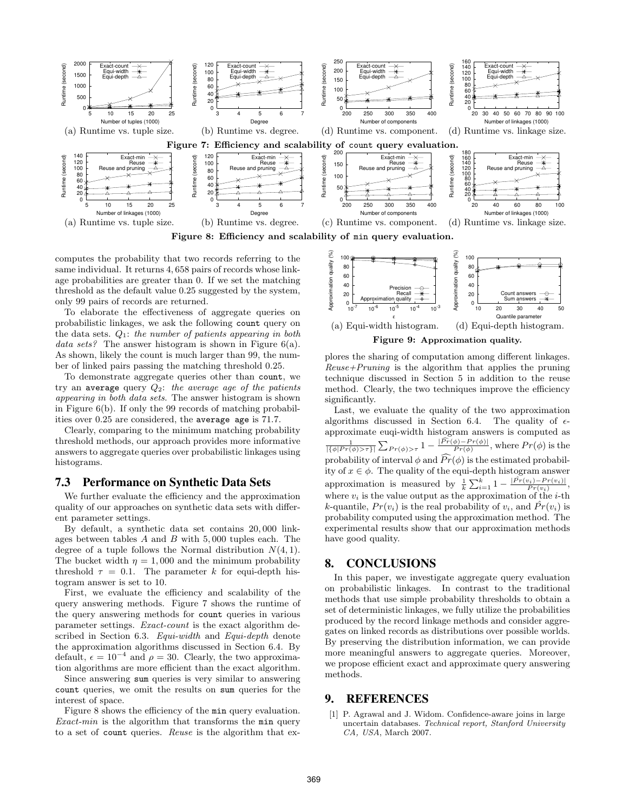

computes the probability that two records referring to the same individual. It returns 4, 658 pairs of records whose linkage probabilities are greater than 0. If we set the matching threshold as the default value 0.25 suggested by the system, only 99 pairs of records are returned.

To elaborate the effectiveness of aggregate queries on probabilistic linkages, we ask the following count query on the data sets.  $Q_1$ : the number of patients appearing in both data sets? The answer histogram is shown in Figure 6(a). As shown, likely the count is much larger than 99, the number of linked pairs passing the matching threshold 0.25.

To demonstrate aggregate queries other than count, we try an average query  $Q_2$ : the average age of the patients appearing in both data sets. The answer histogram is shown in Figure 6(b). If only the 99 records of matching probabilities over 0.25 are considered, the average age is 71.7.

Clearly, comparing to the minimum matching probability threshold methods, our approach provides more informative answers to aggregate queries over probabilistic linkages using histograms.

#### **7.3 Performance on Synthetic Data Sets**

We further evaluate the efficiency and the approximation quality of our approaches on synthetic data sets with different parameter settings.

By default, a synthetic data set contains 20, 000 linkages between tables  $A$  and  $B$  with 5,000 tuples each. The degree of a tuple follows the Normal distribution  $N(4, 1)$ . The bucket width  $\eta = 1,000$  and the minimum probability threshold  $\tau = 0.1$ . The parameter k for equi-depth histogram answer is set to 10.

First, we evaluate the efficiency and scalability of the query answering methods. Figure 7 shows the runtime of the query answering methods for count queries in various parameter settings. Exact-count is the exact algorithm described in Section 6.3. Equi-width and Equi-depth denote the approximation algorithms discussed in Section 6.4. By default,  $\epsilon = 10^{-4}$  and  $\rho = 30$ . Clearly, the two approximation algorithms are more efficient than the exact algorithm.

Since answering sum queries is very similar to answering count queries, we omit the results on sum queries for the interest of space.

Figure 8 shows the efficiency of the min query evaluation. Exact-min is the algorithm that transforms the  $min$  query to a set of count queries. Reuse is the algorithm that ex-



Figure 9: Approximation quality.

plores the sharing of computation among different linkages.  $Reverse+Pruning$  is the algorithm that applies the pruning technique discussed in Section 5 in addition to the reuse method. Clearly, the two techniques improve the efficiency significantly.

Last, we evaluate the quality of the two approximation algorithms discussed in Section 6.4. The quality of  $\epsilon$ approximate euqi-width histogram answers is computed as  $\frac{1}{|\{\phi|Pr(\phi)>\tau\}|}\sum_{Pr(\phi)>\tau}1-\frac{|Pr(\phi)-Pr(\phi)|}{Pr(\phi)},$  where  $Pr(\phi)$  is the probability of interval  $\phi$  and  $\widehat{Pr}(\phi)$  is the estimated probability of  $x \in \phi$ . The quality of the equi-depth histogram answer approximation is measured by  $\frac{1}{k} \sum_{i=1}^{k} 1 - \frac{|\hat{Pr}(v_i) - Pr(v_i)|}{Pr(v_i)},$ where  $v_i$  is the value output as the approximation of the *i*-th k-quantile,  $Pr(v_i)$  is the real probability of  $v_i$ , and  $\hat{Pr}(v_i)$  is probability computed using the approximation method. The experimental results show that our approximation methods have good quality.

# **8. CONCLUSIONS**

In this paper, we investigate aggregate query evaluation on probabilistic linkages. In contrast to the traditional methods that use simple probability thresholds to obtain a set of deterministic linkages, we fully utilize the probabilities produced by the record linkage methods and consider aggregates on linked records as distributions over possible worlds. By preserving the distribution information, we can provide more meaningful answers to aggregate queries. Moreover, we propose efficient exact and approximate query answering methods.

# **9. REFERENCES**

[1] P. Agrawal and J. Widom. Confidence-aware joins in large uncertain databases. *Technical report, Stanford University CA, USA*, March 2007.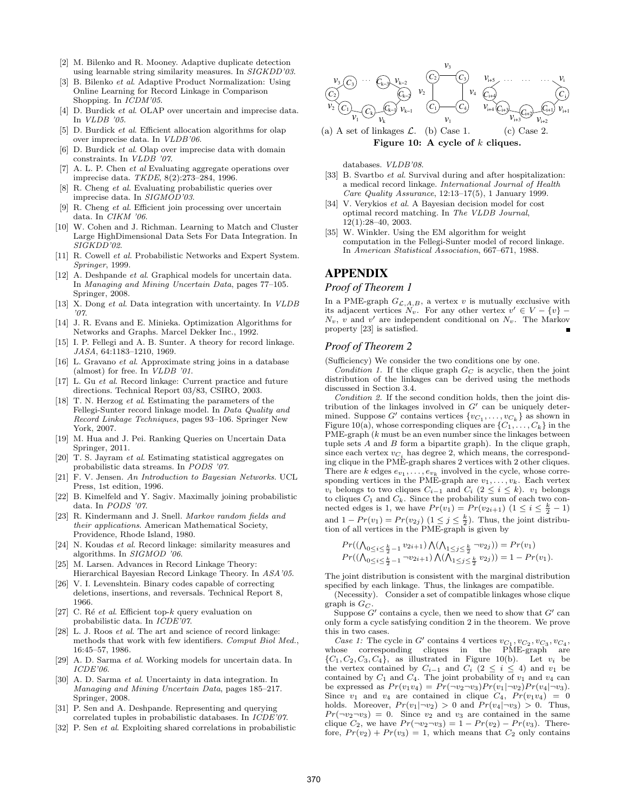- [2] M. Bilenko and R. Mooney. Adaptive duplicate detection using learnable string similarity measures. In *SIGKDD'03*.
- [3] B. Bilenko *et al*. Adaptive Product Normalization: Using Online Learning for Record Linkage in Comparison Shopping. In *ICDM'05*.
- [4] D. Burdick *et al.* OLAP over uncertain and imprecise data. In *VLDB '05*.
- [5] D. Burdick *et al*. Efficient allocation algorithms for olap over imprecise data. In *VLDB'06*.
- [6] D. Burdick *et al*. Olap over imprecise data with domain constraints. In *VLDB '07*.
- [7] A. L. P. Chen *et al* Evaluating aggregate operations over imprecise data. *TKDE*, 8(2):273–284, 1996.
- [8] R. Cheng *et al*. Evaluating probabilistic queries over imprecise data. In *SIGMOD'03*.
- [9] R. Cheng *et al*. Efficient join processing over uncertain data. In *CIKM '06*.
- [10] W. Cohen and J. Richman. Learning to Match and Cluster Large HighDimensional Data Sets For Data Integration. In *SIGKDD'02*.
- [11] R. Cowell *et al*. Probabilistic Networks and Expert System. *Springer*, 1999.
- [12] A. Deshpande *et al*. Graphical models for uncertain data. In *Managing and Mining Uncertain Data*, pages 77–105. Springer, 2008.
- [13] X. Dong *et al*. Data integration with uncertainty. In *VLDB '07*.
- [14] J. R. Evans and E. Minieka. Optimization Algorithms for Networks and Graphs. Marcel Dekker Inc., 1992.
- [15] I. P. Fellegi and A. B. Sunter. A theory for record linkage. *JASA*, 64:1183–1210, 1969.
- [16] L. Gravano *et al*. Approximate string joins in a database (almost) for free. In *VLDB '01*.
- [17] L. Gu *et al*. Record linkage: Current practice and future directions. Technical Report 03/83, CSIRO, 2003.
- [18] T. N. Herzog *et al*. Estimating the parameters of the Fellegi-Sunter record linkage model. In *Data Quality and Record Linkage Techniques*, pages 93–106. Springer New York, 2007.
- [19] M. Hua and J. Pei. Ranking Queries on Uncertain Data Springer, 2011.
- [20] T. S. Jayram *et al*. Estimating statistical aggregates on probabilistic data streams. In *PODS '07*.
- [21] F. V. Jensen. *An Introduction to Bayesian Networks*. UCL Press, 1st edition, 1996.
- [22] B. Kimelfeld and Y. Sagiv. Maximally joining probabilistic data. In *PODS '07*.
- [23] R. Kindermann and J. Snell. *Markov random fields and their applications*. American Mathematical Society, Providence, Rhode Island, 1980.
- [24] N. Koudas *et al*. Record linkage: similarity measures and algorithms. In *SIGMOD '06*.
- [25] M. Larsen. Advances in Record Linkage Theory: Hierarchical Bayesian Record Linkage Theory. In *ASA'05*.
- [26] V. I. Levenshtein. Binary codes capable of correcting deletions, insertions, and reversals. Technical Report 8, 1966.
- $\left[ 27\right] \,$  C. Ré  $\,et\,$   $al.$  Efficient top- $k$  query evaluation on probabilistic data. In *ICDE'07*.
- [28] L. J. Roos *et al*. The art and science of record linkage: methods that work with few identifiers. *Comput Biol Med.*, 16:45–57, 1986.
- [29] A. D. Sarma *et al*. Working models for uncertain data. In *ICDE'06*.
- [30] A. D. Sarma *et al*. Uncertainty in data integration. In *Managing and Mining Uncertain Data*, pages 185–217. Springer, 2008.
- [31] P. Sen and A. Deshpande. Representing and querying correlated tuples in probabilistic databases. In *ICDE'07*.
- [32] P. Sen *et al*. Exploiting shared correlations in probabilistic



Figure 10: A cycle of  $k$  cliques.

databases. *VLDB'08*.

- [33] B. Svartbo *et al*. Survival during and after hospitalization: a medical record linkage. *International Journal of Health Care Quality Assurance*, 12:13–17(5), 1 January 1999.
- [34] V. Verykios *et al*. A Bayesian decision model for cost optimal record matching. In *The VLDB Journal*, 12(1):28–40, 2003.
- [35] W. Winkler. Using the EM algorithm for weight computation in the Fellegi-Sunter model of record linkage. In *American Statistical Association*, 667–671, 1988.

# **APPENDIX**

#### *Proof of Theorem 1*

In a PME-graph  $G_{\mathcal{L},A,B}$ , a vertex v is mutually exclusive with its adjacent vertices  $N_v$ . For any other vertex  $v' \in V - \{v\}$  $N_v$ , v and v' are independent conditional on  $N_v$ . The Markov property [23] is satisfied.

#### *Proof of Theorem 2*

(Sufficiency) We consider the two conditions one by one.

*Condition 1.* If the clique graph  $G_C$  is acyclic, then the joint distribution of the linkages can be derived using the methods discussed in Section 3.4.

*Condition 2.* If the second condition holds, then the joint distribution of the linkages involved in  $G'$  can be uniquely determined. Suppose  $G'$  contains vertices  $\{v_{C_1}, \ldots, v_{C_k}\}$  as shown in Figure 10(a), whose corresponding cliques are  $\{C_1, \ldots, C_k\}$  in the PME-graph (k must be an even number since the linkages between tuple sets A and B form a bipartite graph). In the clique graph, since each vertex  $v_{C_i}$  has degree 2, which means, the corresponding clique in the PME-graph shares 2 vertices with 2 other cliques. There are k edges  $e_{v_1}, \ldots, e_{v_k}$  involved in the cycle, whose corresponding vertices in the PME-graph are  $v_1, \ldots, v_k$ . Each vertex  $v_i$  belongs to two cliques  $C_{i-1}$  and  $C_i$  (2 ≤ i ≤ k).  $v_1$  belongs to cliques  $C_1$  and  $C_k$ . Since the probability sum of each two connected edges is 1, we have  $Pr(v_1) = Pr(v_{2i+1})$   $(1 \leq i \leq \frac{k}{2} - 1)$ and  $1 - Pr(v_1) = Pr(v_{2j})$   $(1 \leq j \leq \frac{k}{2})$ . Thus, the joint distribution of all vertices in the PME-graph is given by

$$
Pr((\bigwedge_{0 \le i \le \frac{k}{2}-1} v_{2i+1}) \bigwedge (\bigwedge_{1 \le j \le \frac{k}{2}} v_{2j}) ) = Pr(v_1)
$$
  

$$
Pr((\bigwedge_{0 \le i \le \frac{k}{2}-1} \neg v_{2i+1}) \bigwedge (\bigwedge_{1 \le j \le \frac{k}{2}} v_{2j}) ) = 1 - Pr(v_1).
$$

The joint distribution is consistent with the marginal distribution specified by each linkage. Thus, the linkages are compatible.

(Necessity). Consider a set of compatible linkages whose clique graph is  $G_C$ .

Suppose  $G'$  contains a cycle, then we need to show that  $G'$  can only form a cycle satisfying condition 2 in the theorem. We prove this in two cases.

*Case 1:* The cycle in  $G'$  contains 4 vertices  $v_{C_1}, v_{C_2}, v_{C_3}, v_{C_4}$ , whose corresponding cliques in the PME-graph are  $\{C_1, C_2, C_3, C_4\}$ , as illustrated in Figure 10(b). Let  $v_i$  be the vertex contained by  $C_{i-1}$  and  $C_i$  (2 ≤ i ≤ 4) and  $v_1$  be contained by  $C_1$  and  $C_4$ . The joint probability of  $v_1$  and  $v_4$  can be expressed as  $Pr(v_1v_4) = Pr(\neg v_2 \neg v_3)Pr(v_1|\neg v_2)Pr(v_4|\neg v_3)$ . Since  $v_1$  and  $v_4$  are contained in clique  $C_4$ ,  $Pr(v_1v_4) = 0$ holds. Moreover,  $Pr(v_1|\neg v_2) > 0$  and  $Pr(v_4|\neg v_3) > 0$ . Thus,  $Pr(\neg v_2 \neg v_3) = 0$ . Since  $v_2$  and  $v_3$  are contained in the same clique  $C_2$ , we have  $Pr(\neg v_2 \neg v_3) = 1 - Pr(v_2) - Pr(v_3)$ . Therefore,  $Pr(v_2) + Pr(v_3) = 1$ , which means that  $C_2$  only contains